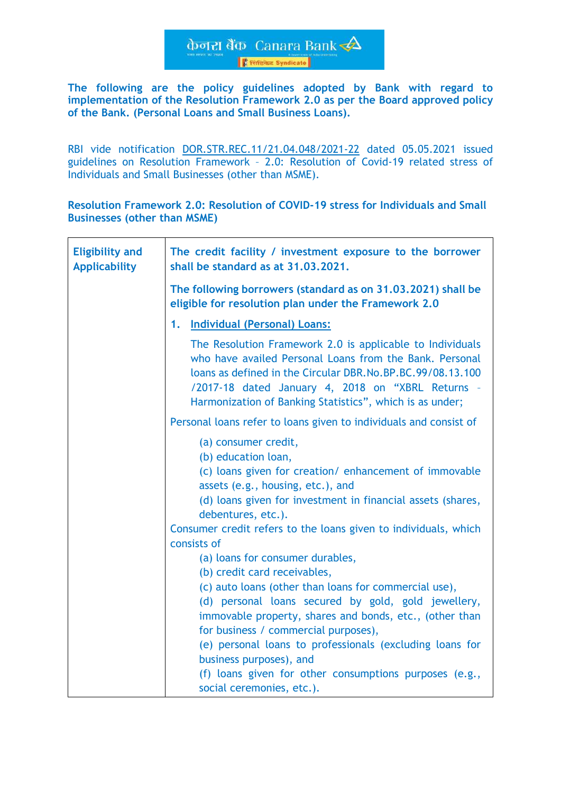केजरा बैंक Canara Bank **Frische Syndicate** 

**The following are the policy guidelines adopted by Bank with regard to implementation of the Resolution Framework 2.0 as per the Board approved policy of the Bank. (Personal Loans and Small Business Loans).**

RBI vide notification [DOR.STR.REC.11/21.04.048/2021-22](https://www.rbi.org.in/Scripts/NotificationUser.aspx?Id=12085&Mode=0) dated 05.05.2021 issued guidelines on Resolution Framework – 2.0: Resolution of Covid-19 related stress of Individuals and Small Businesses (other than MSME).

**Resolution Framework 2.0: Resolution of COVID-19 stress for Individuals and Small Businesses (other than MSME)**

| <b>Eligibility and</b><br><b>Applicability</b> | The credit facility / investment exposure to the borrower<br>shall be standard as at 31,03,2021.                                                                                                                                                                                                                                                                                                                                                                                                                                                                                                        |
|------------------------------------------------|---------------------------------------------------------------------------------------------------------------------------------------------------------------------------------------------------------------------------------------------------------------------------------------------------------------------------------------------------------------------------------------------------------------------------------------------------------------------------------------------------------------------------------------------------------------------------------------------------------|
|                                                | The following borrowers (standard as on 31.03.2021) shall be<br>eligible for resolution plan under the Framework 2.0                                                                                                                                                                                                                                                                                                                                                                                                                                                                                    |
|                                                | 1. Individual (Personal) Loans:                                                                                                                                                                                                                                                                                                                                                                                                                                                                                                                                                                         |
|                                                | The Resolution Framework 2.0 is applicable to Individuals<br>who have availed Personal Loans from the Bank. Personal<br>loans as defined in the Circular DBR.No.BP.BC.99/08.13.100<br>/2017-18 dated January 4, 2018 on "XBRL Returns -<br>Harmonization of Banking Statistics", which is as under;                                                                                                                                                                                                                                                                                                     |
|                                                | Personal loans refer to loans given to individuals and consist of                                                                                                                                                                                                                                                                                                                                                                                                                                                                                                                                       |
|                                                | (a) consumer credit,<br>(b) education loan,<br>(c) loans given for creation/enhancement of immovable<br>assets (e.g., housing, etc.), and<br>(d) loans given for investment in financial assets (shares,<br>debentures, etc.).<br>Consumer credit refers to the loans given to individuals, which<br>consists of<br>(a) loans for consumer durables,<br>(b) credit card receivables,<br>(c) auto loans (other than loans for commercial use),<br>(d) personal loans secured by gold, gold jewellery,<br>immovable property, shares and bonds, etc., (other than<br>for business / commercial purposes), |
|                                                | (e) personal loans to professionals (excluding loans for<br>business purposes), and<br>(f) loans given for other consumptions purposes (e.g.,<br>social ceremonies, etc.).                                                                                                                                                                                                                                                                                                                                                                                                                              |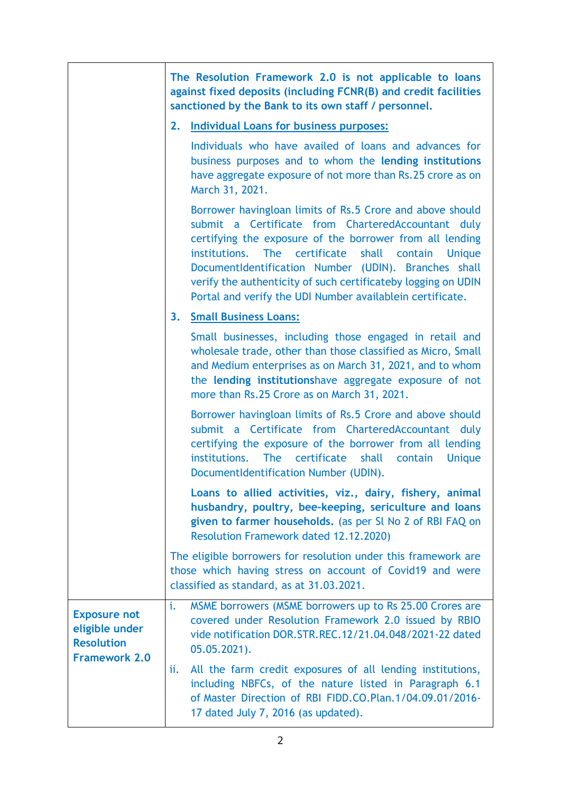|                                                                                    | The Resolution Framework 2.0 is not applicable to loans<br>against fixed deposits (including FCNR(B) and credit facilities<br>sanctioned by the Bank to its own staff / personnel.                                                                                                                                                                                                                                                      |
|------------------------------------------------------------------------------------|-----------------------------------------------------------------------------------------------------------------------------------------------------------------------------------------------------------------------------------------------------------------------------------------------------------------------------------------------------------------------------------------------------------------------------------------|
|                                                                                    | <b>Individual Loans for business purposes:</b><br>2.                                                                                                                                                                                                                                                                                                                                                                                    |
|                                                                                    | Individuals who have availed of loans and advances for<br>business purposes and to whom the lending institutions<br>have aggregate exposure of not more than Rs.25 crore as on<br>March 31, 2021.                                                                                                                                                                                                                                       |
|                                                                                    | Borrower havingloan limits of Rs.5 Crore and above should<br>submit a Certificate from CharteredAccountant duly<br>certifying the exposure of the borrower from all lending<br>The certificate<br>institutions.<br>shall contain<br><b>Unique</b><br>DocumentIdentification Number (UDIN). Branches shall<br>verify the authenticity of such certificateby logging on UDIN<br>Portal and verify the UDI Number availablein certificate. |
|                                                                                    | <b>Small Business Loans:</b><br>3.                                                                                                                                                                                                                                                                                                                                                                                                      |
|                                                                                    | Small businesses, including those engaged in retail and<br>wholesale trade, other than those classified as Micro, Small<br>and Medium enterprises as on March 31, 2021, and to whom<br>the lending institutionshave aggregate exposure of not<br>more than Rs.25 Crore as on March 31, 2021.                                                                                                                                            |
|                                                                                    | Borrower havingloan limits of Rs.5 Crore and above should<br>submit a Certificate from CharteredAccountant duly<br>certifying the exposure of the borrower from all lending<br><b>The</b><br>certificate<br>institutions.<br>shall<br><b>Unique</b><br>contain<br>DocumentIdentification Number (UDIN).                                                                                                                                 |
|                                                                                    | Loans to allied activities, viz., dairy, fishery, animal<br>husbandry, poultry, bee-keeping, sericulture and loans<br>given to farmer households. (as per Sl No 2 of RBI FAQ on<br>Resolution Framework dated 12.12.2020)                                                                                                                                                                                                               |
|                                                                                    | The eligible borrowers for resolution under this framework are<br>those which having stress on account of Covid19 and were<br>classified as standard, as at 31.03.2021.                                                                                                                                                                                                                                                                 |
| <b>Exposure not</b><br>eligible under<br><b>Resolution</b><br><b>Framework 2.0</b> | MSME borrowers (MSME borrowers up to Rs 25.00 Crores are<br>i.<br>covered under Resolution Framework 2.0 issued by RBIO<br>vide notification DOR.STR.REC.12/21.04.048/2021-22 dated<br>$05.05.2021$ .                                                                                                                                                                                                                                   |
|                                                                                    | All the farm credit exposures of all lending institutions,<br>ii.<br>including NBFCs, of the nature listed in Paragraph 6.1<br>of Master Direction of RBI FIDD.CO.Plan.1/04.09.01/2016-<br>17 dated July 7, 2016 (as updated).                                                                                                                                                                                                          |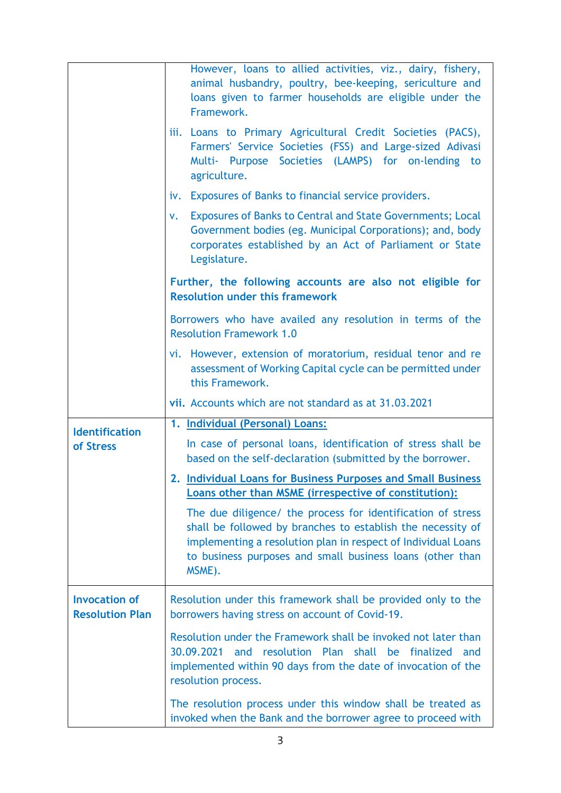|                                                | However, loans to allied activities, viz., dairy, fishery,<br>animal husbandry, poultry, bee-keeping, sericulture and<br>loans given to farmer households are eligible under the<br>Framework.                                                                     |
|------------------------------------------------|--------------------------------------------------------------------------------------------------------------------------------------------------------------------------------------------------------------------------------------------------------------------|
|                                                | iii. Loans to Primary Agricultural Credit Societies (PACS),<br>Farmers' Service Societies (FSS) and Large-sized Adivasi<br>Multi- Purpose Societies (LAMPS) for on-lending to<br>agriculture.                                                                      |
|                                                | iv. Exposures of Banks to financial service providers.                                                                                                                                                                                                             |
|                                                | <b>Exposures of Banks to Central and State Governments; Local</b><br>V.<br>Government bodies (eg. Municipal Corporations); and, body<br>corporates established by an Act of Parliament or State<br>Legislature.                                                    |
|                                                | Further, the following accounts are also not eligible for<br><b>Resolution under this framework</b>                                                                                                                                                                |
|                                                | Borrowers who have availed any resolution in terms of the<br><b>Resolution Framework 1.0</b>                                                                                                                                                                       |
|                                                | vi. However, extension of moratorium, residual tenor and re<br>assessment of Working Capital cycle can be permitted under<br>this Framework.                                                                                                                       |
|                                                |                                                                                                                                                                                                                                                                    |
|                                                | vii. Accounts which are not standard as at 31.03.2021                                                                                                                                                                                                              |
| <b>Identification</b>                          | 1. Individual (Personal) Loans:                                                                                                                                                                                                                                    |
| of Stress                                      | In case of personal loans, identification of stress shall be<br>based on the self-declaration (submitted by the borrower.                                                                                                                                          |
|                                                | 2. Individual Loans for Business Purposes and Small Business<br><b>Loans other than MSME (irrespective of constitution):</b>                                                                                                                                       |
|                                                | The due diligence/ the process for identification of stress<br>shall be followed by branches to establish the necessity of<br>implementing a resolution plan in respect of Individual Loans<br>to business purposes and small business loans (other than<br>MSME). |
| <b>Invocation of</b><br><b>Resolution Plan</b> | Resolution under this framework shall be provided only to the<br>borrowers having stress on account of Covid-19.                                                                                                                                                   |
|                                                | Resolution under the Framework shall be invoked not later than<br>30.09.2021 and resolution Plan shall be finalized<br>and<br>implemented within 90 days from the date of invocation of the<br>resolution process.                                                 |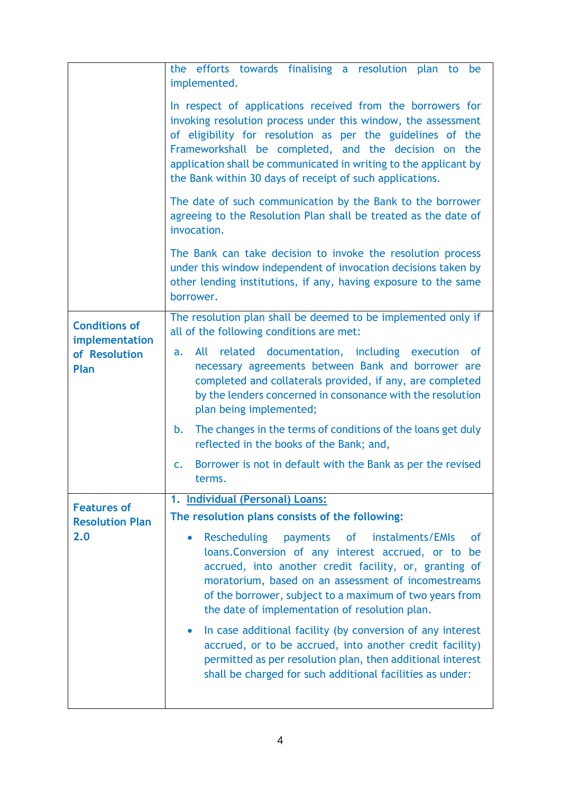|                                              | the efforts towards finalising a resolution plan to be<br>implemented.                                                                                                                                                                                                                                                                                                            |
|----------------------------------------------|-----------------------------------------------------------------------------------------------------------------------------------------------------------------------------------------------------------------------------------------------------------------------------------------------------------------------------------------------------------------------------------|
|                                              | In respect of applications received from the borrowers for<br>invoking resolution process under this window, the assessment<br>of eligibility for resolution as per the guidelines of the<br>Frameworkshall be completed, and the decision on the<br>application shall be communicated in writing to the applicant by<br>the Bank within 30 days of receipt of such applications. |
|                                              | The date of such communication by the Bank to the borrower<br>agreeing to the Resolution Plan shall be treated as the date of<br>invocation.                                                                                                                                                                                                                                      |
|                                              | The Bank can take decision to invoke the resolution process<br>under this window independent of invocation decisions taken by<br>other lending institutions, if any, having exposure to the same<br>borrower.                                                                                                                                                                     |
| <b>Conditions of</b><br>implementation       | The resolution plan shall be deemed to be implemented only if<br>all of the following conditions are met:                                                                                                                                                                                                                                                                         |
| of Resolution<br>Plan                        | All related documentation, including execution of<br>a.<br>necessary agreements between Bank and borrower are<br>completed and collaterals provided, if any, are completed<br>by the lenders concerned in consonance with the resolution<br>plan being implemented;                                                                                                               |
|                                              | The changes in the terms of conditions of the loans get duly<br>b.<br>reflected in the books of the Bank; and,                                                                                                                                                                                                                                                                    |
|                                              | Borrower is not in default with the Bank as per the revised<br>$\mathsf{C}$ .<br>terms.                                                                                                                                                                                                                                                                                           |
|                                              | 1. Individual (Personal) Loans:                                                                                                                                                                                                                                                                                                                                                   |
| <b>Features of</b><br><b>Resolution Plan</b> | The resolution plans consists of the following:                                                                                                                                                                                                                                                                                                                                   |
| 2.0                                          | <b>Rescheduling</b><br>of instalments/EMIs<br>payments<br>οf<br>$\bullet$<br>loans. Conversion of any interest accrued, or to be<br>accrued, into another credit facility, or, granting of<br>moratorium, based on an assessment of incomestreams<br>of the borrower, subject to a maximum of two years from<br>the date of implementation of resolution plan.                    |
|                                              | In case additional facility (by conversion of any interest<br>$\bullet$<br>accrued, or to be accrued, into another credit facility)<br>permitted as per resolution plan, then additional interest<br>shall be charged for such additional facilities as under:                                                                                                                    |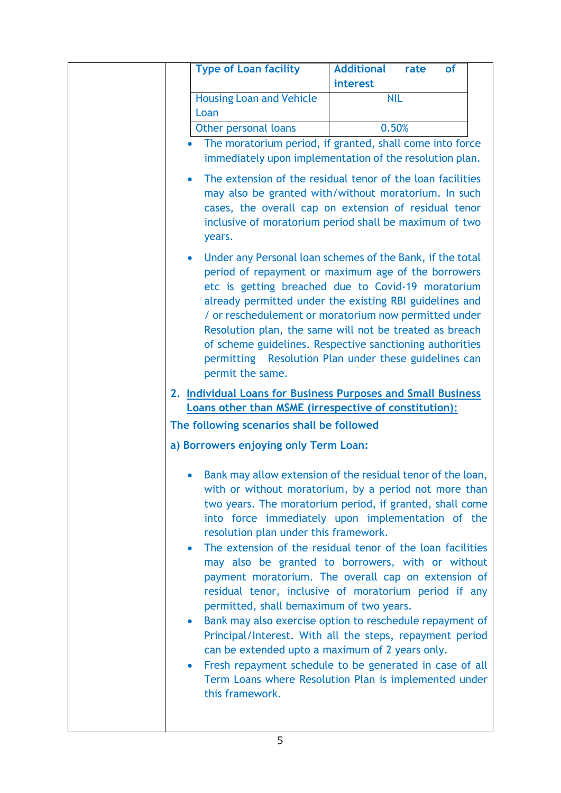| interest<br><b>Housing Loan and Vehicle</b><br><b>NIL</b><br>Loan<br>0.50%<br>Other personal loans<br>The moratorium period, if granted, shall come into force<br>$\bullet$<br>immediately upon implementation of the resolution plan.<br>The extension of the residual tenor of the loan facilities<br>$\bullet$<br>may also be granted with/without moratorium. In such<br>cases, the overall cap on extension of residual tenor<br>inclusive of moratorium period shall be maximum of two<br>years.<br>Under any Personal loan schemes of the Bank, if the total<br>$\bullet$<br>period of repayment or maximum age of the borrowers<br>etc is getting breached due to Covid-19 moratorium<br>already permitted under the existing RBI guidelines and<br>/ or reschedulement or moratorium now permitted under<br>Resolution plan, the same will not be treated as breach<br>of scheme guidelines. Respective sanctioning authorities<br>permitting Resolution Plan under these guidelines can |
|---------------------------------------------------------------------------------------------------------------------------------------------------------------------------------------------------------------------------------------------------------------------------------------------------------------------------------------------------------------------------------------------------------------------------------------------------------------------------------------------------------------------------------------------------------------------------------------------------------------------------------------------------------------------------------------------------------------------------------------------------------------------------------------------------------------------------------------------------------------------------------------------------------------------------------------------------------------------------------------------------|
|                                                                                                                                                                                                                                                                                                                                                                                                                                                                                                                                                                                                                                                                                                                                                                                                                                                                                                                                                                                                   |
|                                                                                                                                                                                                                                                                                                                                                                                                                                                                                                                                                                                                                                                                                                                                                                                                                                                                                                                                                                                                   |
|                                                                                                                                                                                                                                                                                                                                                                                                                                                                                                                                                                                                                                                                                                                                                                                                                                                                                                                                                                                                   |
|                                                                                                                                                                                                                                                                                                                                                                                                                                                                                                                                                                                                                                                                                                                                                                                                                                                                                                                                                                                                   |
|                                                                                                                                                                                                                                                                                                                                                                                                                                                                                                                                                                                                                                                                                                                                                                                                                                                                                                                                                                                                   |
|                                                                                                                                                                                                                                                                                                                                                                                                                                                                                                                                                                                                                                                                                                                                                                                                                                                                                                                                                                                                   |
|                                                                                                                                                                                                                                                                                                                                                                                                                                                                                                                                                                                                                                                                                                                                                                                                                                                                                                                                                                                                   |
| permit the same.                                                                                                                                                                                                                                                                                                                                                                                                                                                                                                                                                                                                                                                                                                                                                                                                                                                                                                                                                                                  |
| 2. Individual Loans for Business Purposes and Small Business<br>Loans other than MSME (irrespective of constitution):                                                                                                                                                                                                                                                                                                                                                                                                                                                                                                                                                                                                                                                                                                                                                                                                                                                                             |
| The following scenarios shall be followed                                                                                                                                                                                                                                                                                                                                                                                                                                                                                                                                                                                                                                                                                                                                                                                                                                                                                                                                                         |
|                                                                                                                                                                                                                                                                                                                                                                                                                                                                                                                                                                                                                                                                                                                                                                                                                                                                                                                                                                                                   |
| a) Borrowers enjoying only Term Loan:                                                                                                                                                                                                                                                                                                                                                                                                                                                                                                                                                                                                                                                                                                                                                                                                                                                                                                                                                             |
| Bank may allow extension of the residual tenor of the loan,<br>with or without moratorium, by a period not more than<br>two years. The moratorium period, if granted, shall come<br>into force immediately upon implementation of the<br>resolution plan under this framework.<br>The extension of the residual tenor of the loan facilities<br>$\bullet$<br>may also be granted to borrowers, with or without<br>payment moratorium. The overall cap on extension of<br>residual tenor, inclusive of moratorium period if any<br>permitted, shall bemaximum of two years.<br>Bank may also exercise option to reschedule repayment of<br>$\bullet$<br>Principal/Interest. With all the steps, repayment period<br>can be extended upto a maximum of 2 years only.<br>Fresh repayment schedule to be generated in case of all<br>$\bullet$<br>Term Loans where Resolution Plan is implemented under<br>this framework.                                                                            |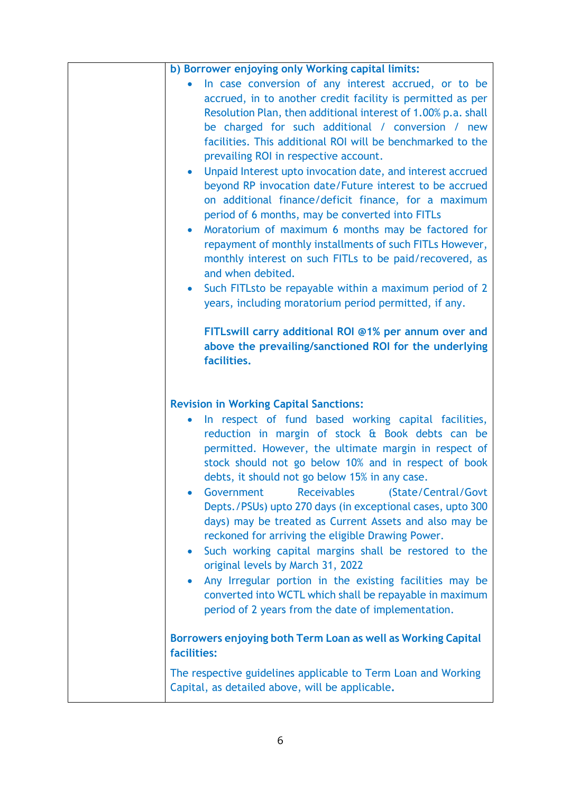| b) Borrower enjoying only Working capital limits:                                                                                                                                                                                                                                                                                                                                                                                                                                                                                                                                                                                                                                                                                                                                                          |
|------------------------------------------------------------------------------------------------------------------------------------------------------------------------------------------------------------------------------------------------------------------------------------------------------------------------------------------------------------------------------------------------------------------------------------------------------------------------------------------------------------------------------------------------------------------------------------------------------------------------------------------------------------------------------------------------------------------------------------------------------------------------------------------------------------|
| In case conversion of any interest accrued, or to be<br>accrued, in to another credit facility is permitted as per<br>Resolution Plan, then additional interest of 1.00% p.a. shall<br>be charged for such additional / conversion / new<br>facilities. This additional ROI will be benchmarked to the<br>prevailing ROI in respective account.<br>Unpaid Interest upto invocation date, and interest accrued<br>$\bullet$<br>beyond RP invocation date/Future interest to be accrued<br>on additional finance/deficit finance, for a maximum<br>period of 6 months, may be converted into FITLs<br>Moratorium of maximum 6 months may be factored for<br>repayment of monthly installments of such FITLs However,<br>monthly interest on such FITLs to be paid/recovered, as<br>and when debited.         |
| Such FITLsto be repayable within a maximum period of 2<br>years, including moratorium period permitted, if any.                                                                                                                                                                                                                                                                                                                                                                                                                                                                                                                                                                                                                                                                                            |
| FITLswill carry additional ROI @1% per annum over and<br>above the prevailing/sanctioned ROI for the underlying<br>facilities.                                                                                                                                                                                                                                                                                                                                                                                                                                                                                                                                                                                                                                                                             |
| <b>Revision in Working Capital Sanctions:</b>                                                                                                                                                                                                                                                                                                                                                                                                                                                                                                                                                                                                                                                                                                                                                              |
| In respect of fund based working capital facilities,<br>$\bullet$<br>reduction in margin of stock & Book debts can be<br>permitted. However, the ultimate margin in respect of<br>stock should not go below 10% and in respect of book<br>debts, it should not go below 15% in any case.<br>Government<br><b>Receivables</b><br>(State/Central/Govt<br>Depts./PSUs) upto 270 days (in exceptional cases, upto 300<br>days) may be treated as Current Assets and also may be<br>reckoned for arriving the eligible Drawing Power.<br>Such working capital margins shall be restored to the<br>original levels by March 31, 2022<br>Any Irregular portion in the existing facilities may be<br>converted into WCTL which shall be repayable in maximum<br>period of 2 years from the date of implementation. |
| Borrowers enjoying both Term Loan as well as Working Capital<br>facilities:                                                                                                                                                                                                                                                                                                                                                                                                                                                                                                                                                                                                                                                                                                                                |
| The respective guidelines applicable to Term Loan and Working<br>Capital, as detailed above, will be applicable.                                                                                                                                                                                                                                                                                                                                                                                                                                                                                                                                                                                                                                                                                           |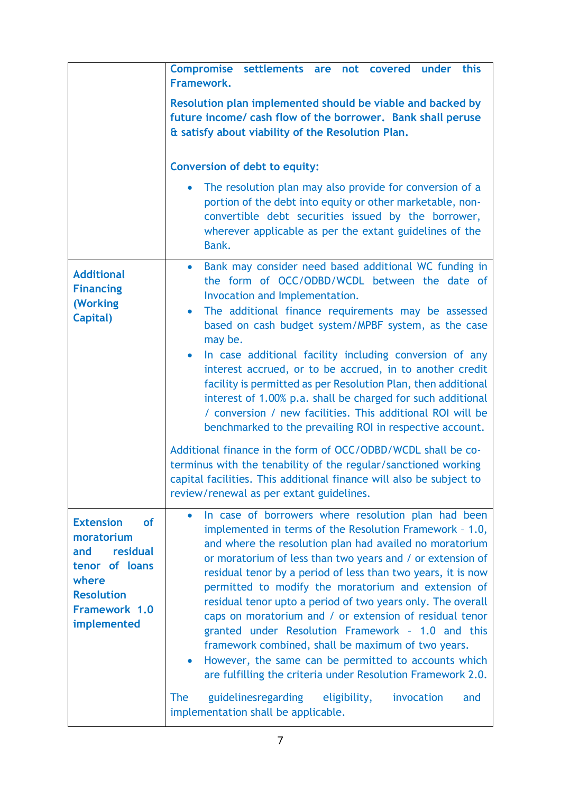|                                                                                                                                                | Compromise settlements are not covered under this<br>Framework.                                                                                                                                                                                                                                                                                                                                                                                                                                                                                                                                                                                                                                                                                            |
|------------------------------------------------------------------------------------------------------------------------------------------------|------------------------------------------------------------------------------------------------------------------------------------------------------------------------------------------------------------------------------------------------------------------------------------------------------------------------------------------------------------------------------------------------------------------------------------------------------------------------------------------------------------------------------------------------------------------------------------------------------------------------------------------------------------------------------------------------------------------------------------------------------------|
|                                                                                                                                                | Resolution plan implemented should be viable and backed by<br>future income/ cash flow of the borrower. Bank shall peruse<br>& satisfy about viability of the Resolution Plan.                                                                                                                                                                                                                                                                                                                                                                                                                                                                                                                                                                             |
|                                                                                                                                                | <b>Conversion of debt to equity:</b>                                                                                                                                                                                                                                                                                                                                                                                                                                                                                                                                                                                                                                                                                                                       |
|                                                                                                                                                | The resolution plan may also provide for conversion of a<br>portion of the debt into equity or other marketable, non-<br>convertible debt securities issued by the borrower,<br>wherever applicable as per the extant guidelines of the<br>Bank.                                                                                                                                                                                                                                                                                                                                                                                                                                                                                                           |
| <b>Additional</b><br><b>Financing</b><br>(Working<br>Capital)                                                                                  | Bank may consider need based additional WC funding in<br>$\bullet$<br>the form of OCC/ODBD/WCDL between the date of<br>Invocation and Implementation.<br>The additional finance requirements may be assessed<br>$\bullet$<br>based on cash budget system/MPBF system, as the case<br>may be.<br>In case additional facility including conversion of any<br>$\bullet$<br>interest accrued, or to be accrued, in to another credit<br>facility is permitted as per Resolution Plan, then additional<br>interest of 1.00% p.a. shall be charged for such additional<br>/ conversion / new facilities. This additional ROI will be<br>benchmarked to the prevailing ROI in respective account.<br>Additional finance in the form of OCC/ODBD/WCDL shall be co- |
|                                                                                                                                                | terminus with the tenability of the regular/sanctioned working<br>capital facilities. This additional finance will also be subject to<br>review/renewal as per extant guidelines.                                                                                                                                                                                                                                                                                                                                                                                                                                                                                                                                                                          |
| <b>Extension</b><br><b>of</b><br>moratorium<br>residual<br>and<br>tenor of loans<br>where<br><b>Resolution</b><br>Framework 1.0<br>implemented | In case of borrowers where resolution plan had been<br>$\bullet$<br>implemented in terms of the Resolution Framework - 1.0,<br>and where the resolution plan had availed no moratorium<br>or moratorium of less than two years and / or extension of<br>residual tenor by a period of less than two years, it is now<br>permitted to modify the moratorium and extension of<br>residual tenor upto a period of two years only. The overall<br>caps on moratorium and / or extension of residual tenor<br>granted under Resolution Framework - 1.0 and this<br>framework combined, shall be maximum of two years.<br>However, the same can be permitted to accounts which<br>$\bullet$<br>are fulfilling the criteria under Resolution Framework 2.0.       |
|                                                                                                                                                | guidelinesregarding<br><b>The</b><br>eligibility,<br>invocation<br>and<br>implementation shall be applicable.                                                                                                                                                                                                                                                                                                                                                                                                                                                                                                                                                                                                                                              |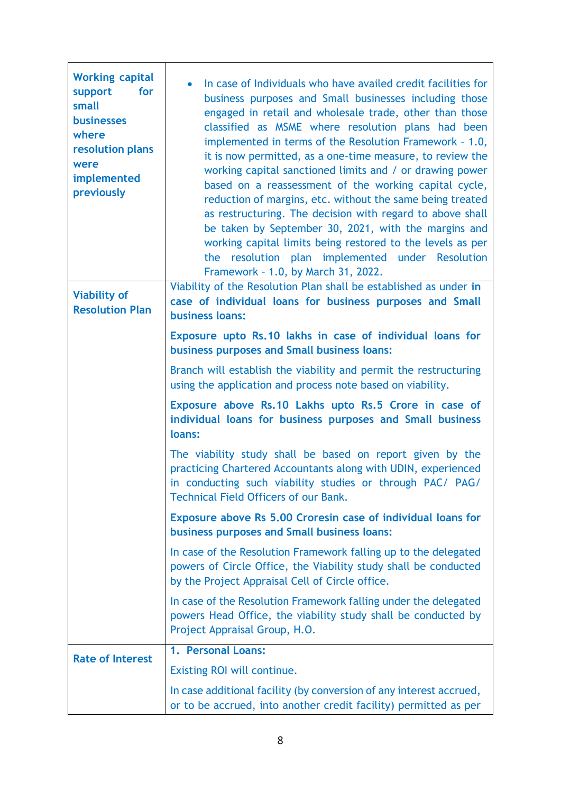| <b>Working capital</b><br>for<br>support<br>small<br><b>businesses</b><br>where<br>resolution plans<br>were<br>implemented<br>previously<br><b>Viability of</b><br><b>Resolution Plan</b> | In case of Individuals who have availed credit facilities for<br>business purposes and Small businesses including those<br>engaged in retail and wholesale trade, other than those<br>classified as MSME where resolution plans had been<br>implemented in terms of the Resolution Framework - 1.0,<br>it is now permitted, as a one-time measure, to review the<br>working capital sanctioned limits and / or drawing power<br>based on a reassessment of the working capital cycle,<br>reduction of margins, etc. without the same being treated<br>as restructuring. The decision with regard to above shall<br>be taken by September 30, 2021, with the margins and<br>working capital limits being restored to the levels as per<br>resolution plan implemented under Resolution<br>the<br>Framework - 1.0, by March 31, 2022.<br>Viability of the Resolution Plan shall be established as under in<br>case of individual loans for business purposes and Small<br><b>business loans:</b> |
|-------------------------------------------------------------------------------------------------------------------------------------------------------------------------------------------|------------------------------------------------------------------------------------------------------------------------------------------------------------------------------------------------------------------------------------------------------------------------------------------------------------------------------------------------------------------------------------------------------------------------------------------------------------------------------------------------------------------------------------------------------------------------------------------------------------------------------------------------------------------------------------------------------------------------------------------------------------------------------------------------------------------------------------------------------------------------------------------------------------------------------------------------------------------------------------------------|
|                                                                                                                                                                                           | Exposure upto Rs.10 lakhs in case of individual loans for<br>business purposes and Small business loans:                                                                                                                                                                                                                                                                                                                                                                                                                                                                                                                                                                                                                                                                                                                                                                                                                                                                                       |
|                                                                                                                                                                                           | Branch will establish the viability and permit the restructuring<br>using the application and process note based on viability.                                                                                                                                                                                                                                                                                                                                                                                                                                                                                                                                                                                                                                                                                                                                                                                                                                                                 |
|                                                                                                                                                                                           | Exposure above Rs.10 Lakhs upto Rs.5 Crore in case of<br>individual loans for business purposes and Small business<br>loans:                                                                                                                                                                                                                                                                                                                                                                                                                                                                                                                                                                                                                                                                                                                                                                                                                                                                   |
|                                                                                                                                                                                           | The viability study shall be based on report given by the<br>practicing Chartered Accountants along with UDIN, experienced<br>in conducting such viability studies or through PAC/ PAG/<br><b>Technical Field Officers of our Bank.</b>                                                                                                                                                                                                                                                                                                                                                                                                                                                                                                                                                                                                                                                                                                                                                        |
|                                                                                                                                                                                           | Exposure above Rs 5.00 Croresin case of individual loans for<br>business purposes and Small business loans:                                                                                                                                                                                                                                                                                                                                                                                                                                                                                                                                                                                                                                                                                                                                                                                                                                                                                    |
|                                                                                                                                                                                           | In case of the Resolution Framework falling up to the delegated<br>powers of Circle Office, the Viability study shall be conducted<br>by the Project Appraisal Cell of Circle office.                                                                                                                                                                                                                                                                                                                                                                                                                                                                                                                                                                                                                                                                                                                                                                                                          |
|                                                                                                                                                                                           | In case of the Resolution Framework falling under the delegated<br>powers Head Office, the viability study shall be conducted by<br>Project Appraisal Group, H.O.                                                                                                                                                                                                                                                                                                                                                                                                                                                                                                                                                                                                                                                                                                                                                                                                                              |
| <b>Rate of Interest</b>                                                                                                                                                                   | 1. Personal Loans:                                                                                                                                                                                                                                                                                                                                                                                                                                                                                                                                                                                                                                                                                                                                                                                                                                                                                                                                                                             |
|                                                                                                                                                                                           | Existing ROI will continue.                                                                                                                                                                                                                                                                                                                                                                                                                                                                                                                                                                                                                                                                                                                                                                                                                                                                                                                                                                    |
|                                                                                                                                                                                           | In case additional facility (by conversion of any interest accrued,<br>or to be accrued, into another credit facility) permitted as per                                                                                                                                                                                                                                                                                                                                                                                                                                                                                                                                                                                                                                                                                                                                                                                                                                                        |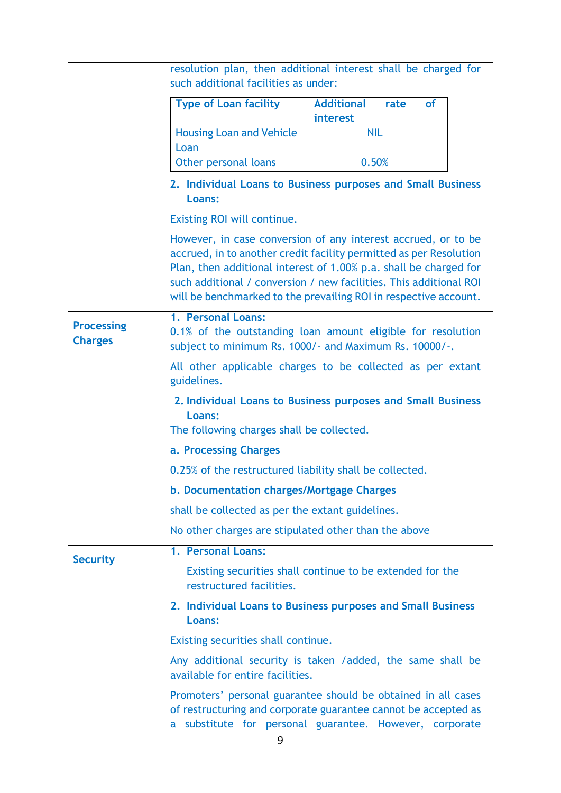|                                     | such additional facilities as under:                    | resolution plan, then additional interest shall be charged for                                                                                                                                                                                                                                                                                     |
|-------------------------------------|---------------------------------------------------------|----------------------------------------------------------------------------------------------------------------------------------------------------------------------------------------------------------------------------------------------------------------------------------------------------------------------------------------------------|
|                                     | <b>Type of Loan facility</b>                            | <b>Additional</b><br><b>of</b><br>rate<br>interest                                                                                                                                                                                                                                                                                                 |
|                                     | <b>Housing Loan and Vehicle</b><br>Loan                 | <b>NIL</b>                                                                                                                                                                                                                                                                                                                                         |
|                                     | Other personal loans                                    | 0.50%                                                                                                                                                                                                                                                                                                                                              |
|                                     | <b>Loans:</b>                                           | 2. Individual Loans to Business purposes and Small Business                                                                                                                                                                                                                                                                                        |
|                                     | Existing ROI will continue.                             |                                                                                                                                                                                                                                                                                                                                                    |
|                                     |                                                         | However, in case conversion of any interest accrued, or to be<br>accrued, in to another credit facility permitted as per Resolution<br>Plan, then additional interest of 1.00% p.a. shall be charged for<br>such additional / conversion / new facilities. This additional ROI<br>will be benchmarked to the prevailing ROI in respective account. |
| <b>Processing</b><br><b>Charges</b> | 1. Personal Loans:                                      | 0.1% of the outstanding loan amount eligible for resolution<br>subject to minimum Rs. 1000/- and Maximum Rs. 10000/-.                                                                                                                                                                                                                              |
|                                     | guidelines.                                             | All other applicable charges to be collected as per extant                                                                                                                                                                                                                                                                                         |
|                                     | Loans:<br>The following charges shall be collected.     | 2. Individual Loans to Business purposes and Small Business                                                                                                                                                                                                                                                                                        |
|                                     | a. Processing Charges                                   |                                                                                                                                                                                                                                                                                                                                                    |
|                                     | 0.25% of the restructured liability shall be collected. |                                                                                                                                                                                                                                                                                                                                                    |
|                                     | b. Documentation charges/Mortgage Charges               |                                                                                                                                                                                                                                                                                                                                                    |
|                                     | shall be collected as per the extant guidelines.        |                                                                                                                                                                                                                                                                                                                                                    |
|                                     | No other charges are stipulated other than the above    |                                                                                                                                                                                                                                                                                                                                                    |
|                                     | 1. Personal Loans:                                      |                                                                                                                                                                                                                                                                                                                                                    |
| <b>Security</b>                     | restructured facilities.                                | Existing securities shall continue to be extended for the                                                                                                                                                                                                                                                                                          |
|                                     | Loans:                                                  | 2. Individual Loans to Business purposes and Small Business                                                                                                                                                                                                                                                                                        |
|                                     | Existing securities shall continue.                     |                                                                                                                                                                                                                                                                                                                                                    |
|                                     | available for entire facilities.                        | Any additional security is taken / added, the same shall be                                                                                                                                                                                                                                                                                        |
|                                     |                                                         | Promoters' personal guarantee should be obtained in all cases<br>of restructuring and corporate guarantee cannot be accepted as<br>a substitute for personal guarantee. However, corporate                                                                                                                                                         |